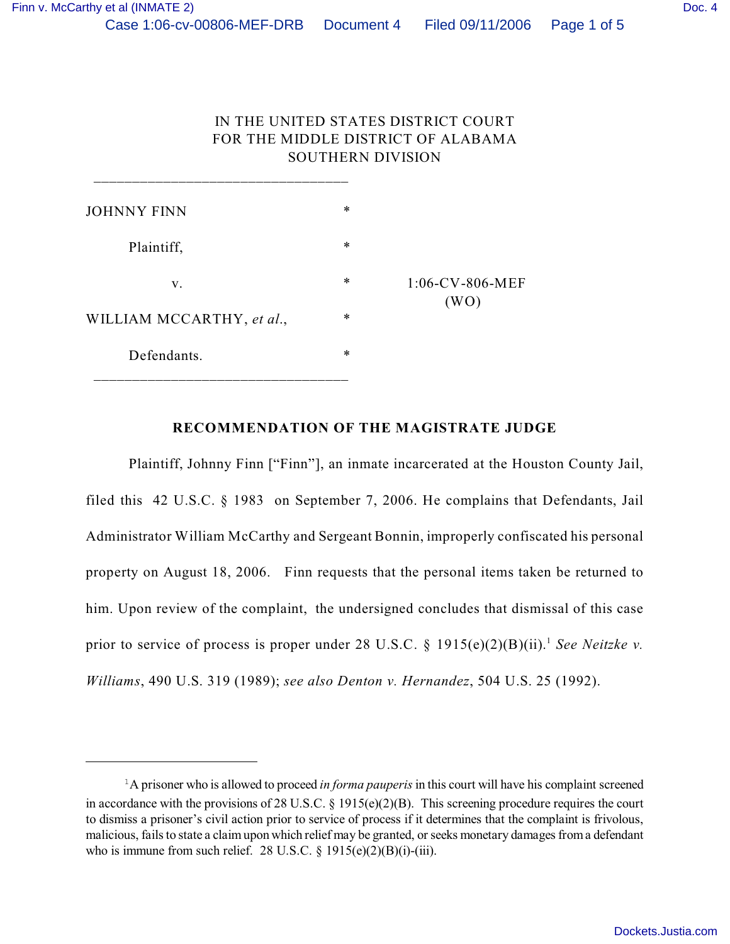# IN THE UNITED STATES DISTRICT COURT FOR THE MIDDLE DISTRICT OF ALABAMA SOUTHERN DIVISION

| <b>JOHNNY FINN</b>        | ∗      |                            |
|---------------------------|--------|----------------------------|
| Plaintiff,                | $\ast$ |                            |
| V.                        | $\ast$ | $1:06$ -CV-806-MEF<br>(WO) |
| WILLIAM MCCARTHY, et al., | ∗      |                            |
| Defendants.               | $\ast$ |                            |

\_\_\_\_\_\_\_\_\_\_\_\_\_\_\_\_\_\_\_\_\_\_\_\_\_\_\_\_\_\_\_\_\_

### **RECOMMENDATION OF THE MAGISTRATE JUDGE**

Plaintiff, Johnny Finn ["Finn"], an inmate incarcerated at the Houston County Jail, filed this 42 U.S.C. § 1983 on September 7, 2006. He complains that Defendants, Jail Administrator William McCarthy and Sergeant Bonnin, improperly confiscated his personal property on August 18, 2006. Finn requests that the personal items taken be returned to him. Upon review of the complaint, the undersigned concludes that dismissal of this case prior to service of process is proper under 28 U.S.C. § 1915(e)(2)(B)(ii).<sup>1</sup> See Neitzke v. *Williams*, 490 U.S. 319 (1989); *see also Denton v. Hernandez*, 504 U.S. 25 (1992).

 ${}^{1}$ A prisoner who is allowed to proceed *in forma pauperis* in this court will have his complaint screened in accordance with the provisions of 28 U.S.C. § 1915(e)(2)(B). This screening procedure requires the court to dismiss a prisoner's civil action prior to service of process if it determines that the complaint is frivolous, malicious, fails to state a claim upon which relief may be granted, or seeks monetary damages from a defendant who is immune from such relief. 28 U.S.C.  $\S$  1915(e)(2)(B)(i)-(iii).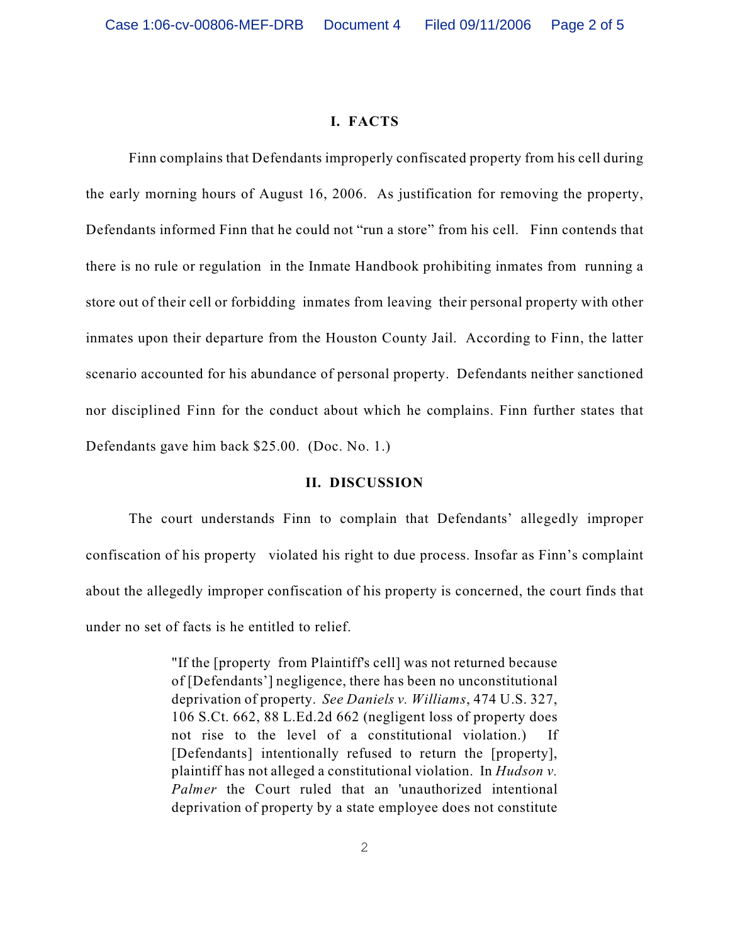#### **I. FACTS**

Finn complains that Defendants improperly confiscated property from his cell during the early morning hours of August 16, 2006. As justification for removing the property, Defendants informed Finn that he could not "run a store" from his cell. Finn contends that there is no rule or regulation in the Inmate Handbook prohibiting inmates from running a store out of their cell or forbidding inmates from leaving their personal property with other inmates upon their departure from the Houston County Jail. According to Finn, the latter scenario accounted for his abundance of personal property. Defendants neither sanctioned nor disciplined Finn for the conduct about which he complains. Finn further states that Defendants gave him back \$25.00. (Doc. No. 1.)

#### **II. DISCUSSION**

The court understands Finn to complain that Defendants' allegedly improper confiscation of his property violated his right to due process. Insofar as Finn's complaint about the allegedly improper confiscation of his property is concerned, the court finds that under no set of facts is he entitled to relief.

> "If the [property from Plaintiff's cell] was not returned because of [Defendants'] negligence, there has been no unconstitutional deprivation of property. *See Daniels v. Williams*, 474 U.S. 327, 106 S.Ct. 662, 88 L.Ed.2d 662 (negligent loss of property does not rise to the level of a constitutional violation.) If [Defendants] intentionally refused to return the [property], plaintiff has not alleged a constitutional violation. In *Hudson v. Palmer* the Court ruled that an 'unauthorized intentional deprivation of property by a state employee does not constitute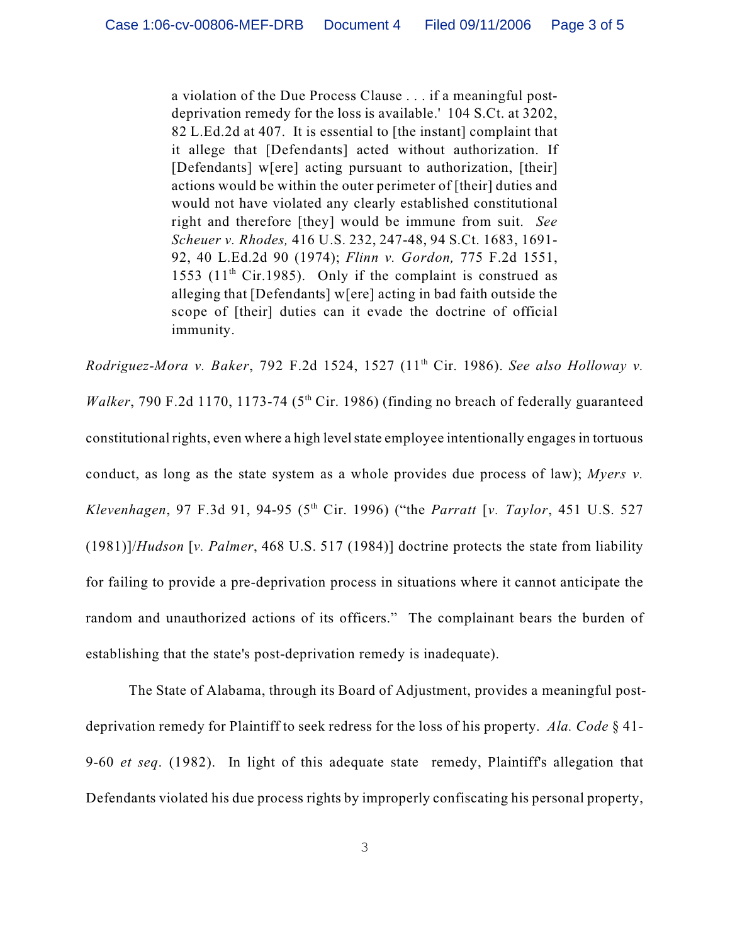a violation of the Due Process Clause . . . if a meaningful postdeprivation remedy for the loss is available.' 104 S.Ct. at 3202, 82 L.Ed.2d at 407. It is essential to [the instant] complaint that it allege that [Defendants] acted without authorization. If [Defendants] w[ere] acting pursuant to authorization, [their] actions would be within the outer perimeter of [their] duties and would not have violated any clearly established constitutional right and therefore [they] would be immune from suit. *See Scheuer v. Rhodes,* 416 U.S. 232, 247-48, 94 S.Ct. 1683, 1691- 92, 40 L.Ed.2d 90 (1974); *Flinn v. Gordon,* 775 F.2d 1551, 1553 (11<sup>th</sup> Cir.1985). Only if the complaint is construed as alleging that [Defendants] w[ere] acting in bad faith outside the scope of [their] duties can it evade the doctrine of official immunity.

*Rodriguez-Mora v. Baker, 792 F.2d 1524, 1527 (11<sup>th</sup> Cir. 1986). See also Holloway v. Walker*, 790 F.2d 1170, 1173-74 ( $5<sup>th</sup> Cir.$  1986) (finding no breach of federally guaranteed constitutional rights, even where a high level state employee intentionally engages in tortuous conduct, as long as the state system as a whole provides due process of law); *Myers v. Klevenhagen*, 97 F.3d 91, 94-95 (5<sup>th</sup> Cir. 1996) ("the *Parratt* [*v. Taylor*, 451 U.S. 527 (1981)]/*Hudson* [*v. Palmer*, 468 U.S. 517 (1984)] doctrine protects the state from liability for failing to provide a pre-deprivation process in situations where it cannot anticipate the random and unauthorized actions of its officers." The complainant bears the burden of establishing that the state's post-deprivation remedy is inadequate).

The State of Alabama, through its Board of Adjustment, provides a meaningful postdeprivation remedy for Plaintiff to seek redress for the loss of his property. *Ala. Code* § 41- 9-60 *et seq*. (1982). In light of this adequate state remedy, Plaintiff's allegation that Defendants violated his due process rights by improperly confiscating his personal property,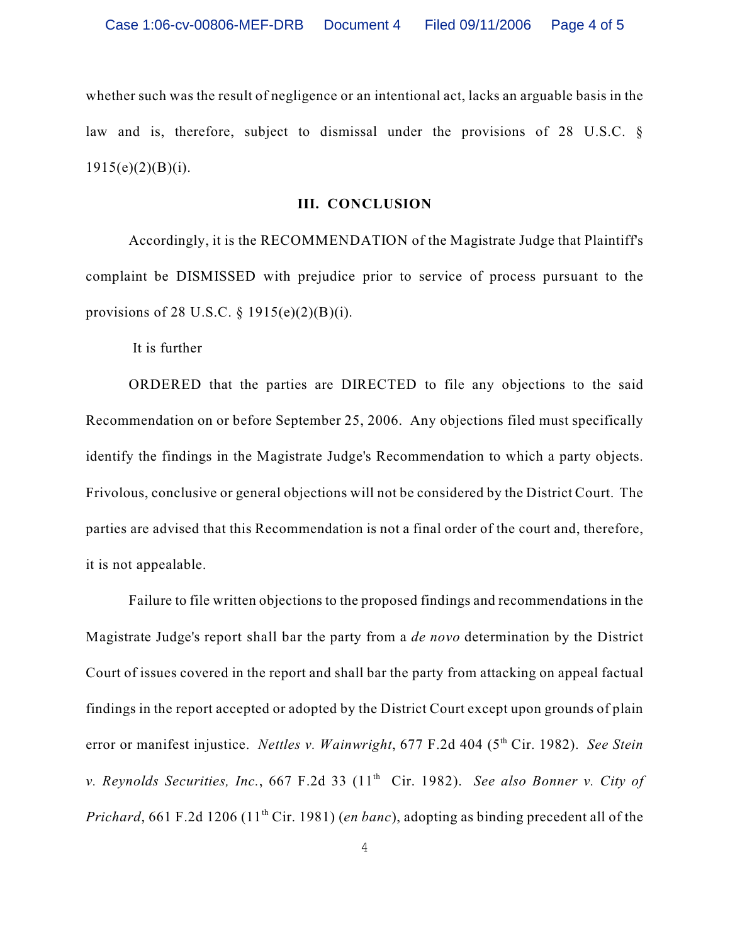whether such was the result of negligence or an intentional act, lacks an arguable basis in the law and is, therefore, subject to dismissal under the provisions of 28 U.S.C. §  $1915(e)(2)(B)(i)$ .

## **III. CONCLUSION**

Accordingly, it is the RECOMMENDATION of the Magistrate Judge that Plaintiff's complaint be DISMISSED with prejudice prior to service of process pursuant to the provisions of 28 U.S.C. § 1915(e)(2)(B)(i).

It is further

ORDERED that the parties are DIRECTED to file any objections to the said Recommendation on or before September 25, 2006. Any objections filed must specifically identify the findings in the Magistrate Judge's Recommendation to which a party objects. Frivolous, conclusive or general objections will not be considered by the District Court. The parties are advised that this Recommendation is not a final order of the court and, therefore, it is not appealable.

Failure to file written objections to the proposed findings and recommendations in the Magistrate Judge's report shall bar the party from a *de novo* determination by the District Court of issues covered in the report and shall bar the party from attacking on appeal factual findings in the report accepted or adopted by the District Court except upon grounds of plain error or manifest injustice. *Nettles v. Wainwright*, 677 F.2d 404 (5<sup>th</sup> Cir. 1982). *See Stein v. Reynolds Securities, Inc., 667 F.2d 33 (11<sup>th</sup> Cir. 1982). See also Bonner v. City of Prichard*, 661 F.2d 1206 (11<sup>th</sup> Cir. 1981) (*en banc*), adopting as binding precedent all of the